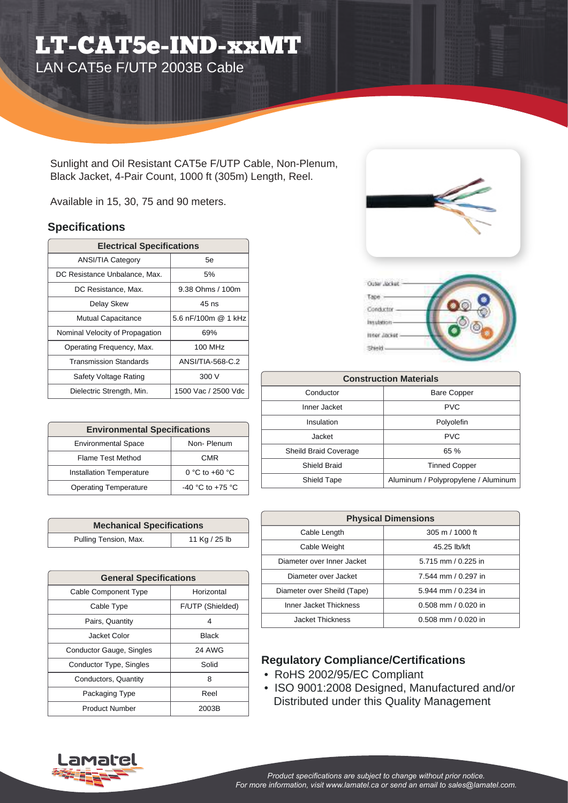## LT-CAT5e-IND-xxMT LAN CAT5e F/UTP 2003B Cable

Sunlight and Oil Resistant CAT5e F/UTP Cable, Non-Plenum, Black Jacket, 4-Pair Count, 1000 ft (305m) Length, Reel.

Available in 15, 30, 75 and 90 meters.

## **Specifications**

| <b>Electrical Specifications</b> |                     |  |  |  |
|----------------------------------|---------------------|--|--|--|
| <b>ANSI/TIA Category</b>         | 5e                  |  |  |  |
| DC Resistance Unbalance, Max.    | 5%                  |  |  |  |
| DC Resistance, Max.              | 9.38 Ohms / 100m    |  |  |  |
| Delay Skew                       | $45$ ns             |  |  |  |
| <b>Mutual Capacitance</b>        | 5.6 nF/100m @ 1 kHz |  |  |  |
| Nominal Velocity of Propagation  | 69%                 |  |  |  |
| Operating Frequency, Max.        | 100 MHz             |  |  |  |
| <b>Transmission Standards</b>    | ANSI/TIA-568-C.2    |  |  |  |
| Safety Voltage Rating            | 300 V               |  |  |  |
| Dielectric Strength, Min.        | 1500 Vac / 2500 Vdc |  |  |  |

| <b>Environmental Specifications</b> |                      |  |  |  |
|-------------------------------------|----------------------|--|--|--|
| <b>Environmental Space</b>          | Non-Plenum           |  |  |  |
| Flame Test Method                   | CMR                  |  |  |  |
| <b>Installation Temperature</b>     | 0 °C to +60 °C       |  |  |  |
| <b>Operating Temperature</b>        | $-40$ °C to $+75$ °C |  |  |  |

| <b>Mechanical Specifications</b> |               |  |  |  |
|----------------------------------|---------------|--|--|--|
| Pulling Tension, Max.            | 11 Kg / 25 lb |  |  |  |

| <b>General Specifications</b>   |                  |  |  |  |
|---------------------------------|------------------|--|--|--|
| Cable Component Type            | Horizontal       |  |  |  |
| Cable Type                      | F/UTP (Shielded) |  |  |  |
| Pairs, Quantity                 | 4                |  |  |  |
| Jacket Color                    | Black            |  |  |  |
| <b>Conductor Gauge, Singles</b> | <b>24 AWG</b>    |  |  |  |
| Conductor Type, Singles         | Solid            |  |  |  |
| Conductors, Quantity            | 8                |  |  |  |
| Packaging Type                  | Reel             |  |  |  |
| <b>Product Number</b>           | 2003B            |  |  |  |





| <b>Construction Materials</b> |                                     |  |  |  |
|-------------------------------|-------------------------------------|--|--|--|
| Conductor                     | <b>Bare Copper</b>                  |  |  |  |
| Inner Jacket                  | <b>PVC</b>                          |  |  |  |
| Insulation                    | Polyolefin                          |  |  |  |
| Jacket                        | <b>PVC</b>                          |  |  |  |
| <b>Sheild Braid Coverage</b>  | 65 %                                |  |  |  |
| Shield Braid                  | <b>Tinned Copper</b>                |  |  |  |
| Shield Tape                   | Aluminum / Polypropylene / Aluminum |  |  |  |

| <b>Physical Dimensions</b>  |                         |  |  |
|-----------------------------|-------------------------|--|--|
| Cable Length                | 305 m / 1000 ft         |  |  |
| Cable Weight                | 45.25 lb/kft            |  |  |
| Diameter over Inner Jacket  | 5.715 mm / 0.225 in     |  |  |
| Diameter over Jacket        | 7.544 mm / 0.297 in     |  |  |
| Diameter over Sheild (Tape) | 5.944 mm / 0.234 in     |  |  |
| Inner Jacket Thickness      | $0.508$ mm $/ 0.020$ in |  |  |
| Jacket Thickness            | $0.508$ mm $/ 0.020$ in |  |  |

## **Regulatory Compliance/Certifications**

- RoHS 2002/95/EC Compliant
- ISO 9001:2008 Designed, Manufactured and/or Distributed under this Quality Management